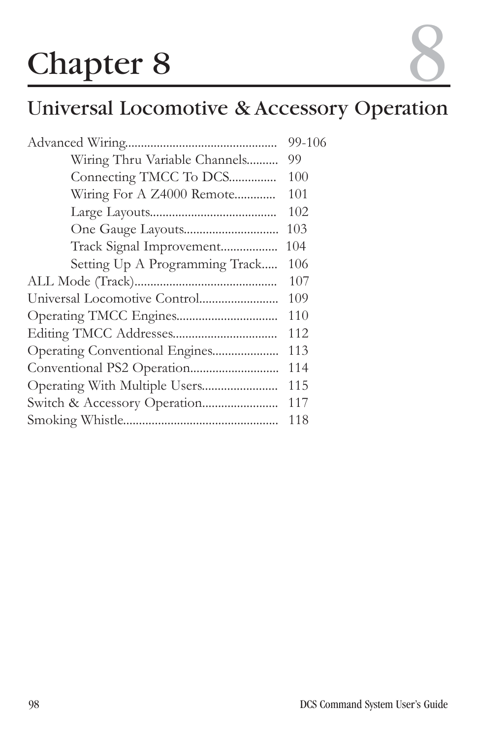# **Chapter 8**

# Universal Locomotive & Accessory Operation

|                                | 99-106 |
|--------------------------------|--------|
| Wiring Thru Variable Channels  | 99     |
| Connecting TMCC To DCS         | 100    |
| Wiring For A Z4000 Remote      | 101    |
|                                | 102    |
|                                | 103    |
| Track Signal Improvement       | 104    |
| Setting Up A Programming Track | 106    |
|                                | 107    |
|                                | 109    |
|                                | 110    |
|                                | 112    |
| Operating Conventional Engines | 113    |
|                                | 114    |
|                                | 115    |
|                                | 117    |
|                                | 118    |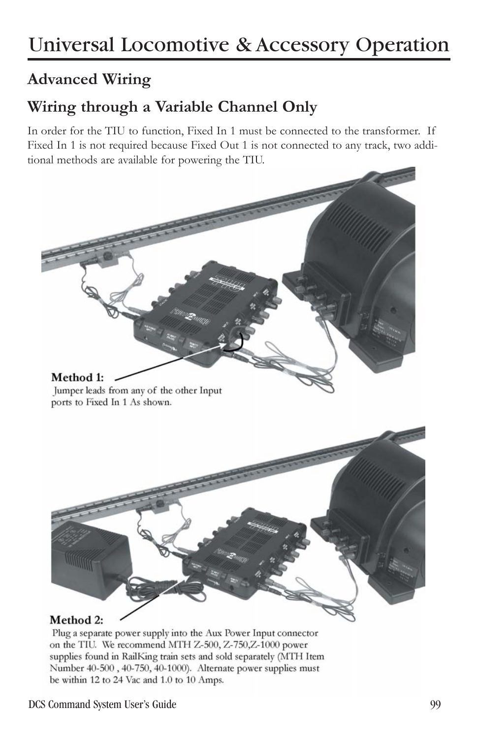### **Wiring through a Variable Channel Only**

In order for the TIU to function, Fixed In 1 must be connected to the transformer. If Fixed In 1 is not required because Fixed Out 1 is not connected to any track, two additional methods are available for powering the TIU.



Plug a separate power supply into the Aux Power Input connector on the TIU. We recommend MTH Z-500, Z-750, Z-1000 power supplies found in RailKing train sets and sold separately (MTH Item Number 40-500, 40-750, 40-1000). Alternate power supplies must be within 12 to 24 Vac and 1.0 to 10 Amps.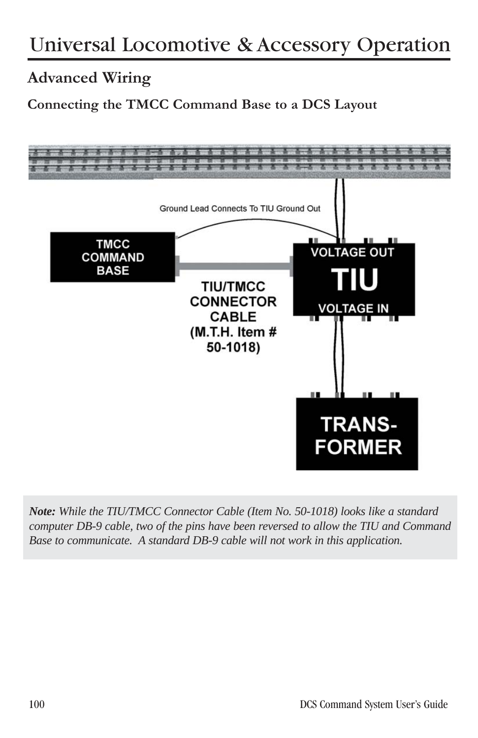#### **Connecting the TMCC Command Base to a DCS Layout**



*Note: While the TIU/TMCC Connector Cable (Item No. 50-1018) looks like a standard computer DB-9 cable, two of the pins have been reversed to allow the TIU and Command Base to communicate. A standard DB-9 cable will not work in this application.*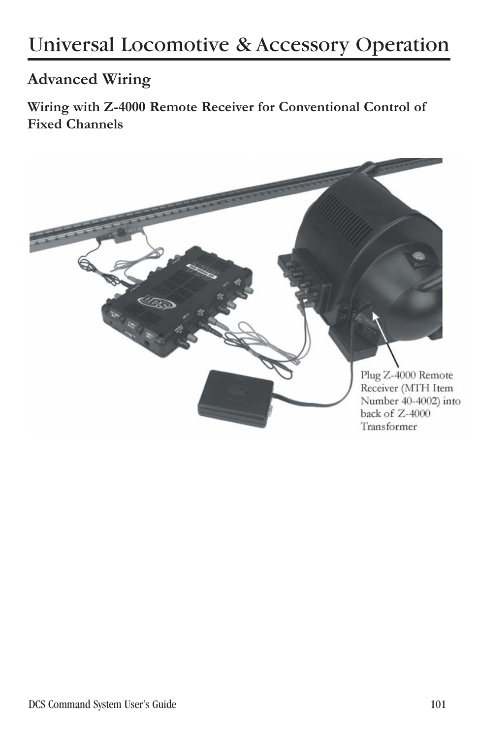**Wiring with Z-4000 Remote Receiver for Conventional Control of Fixed Channels**

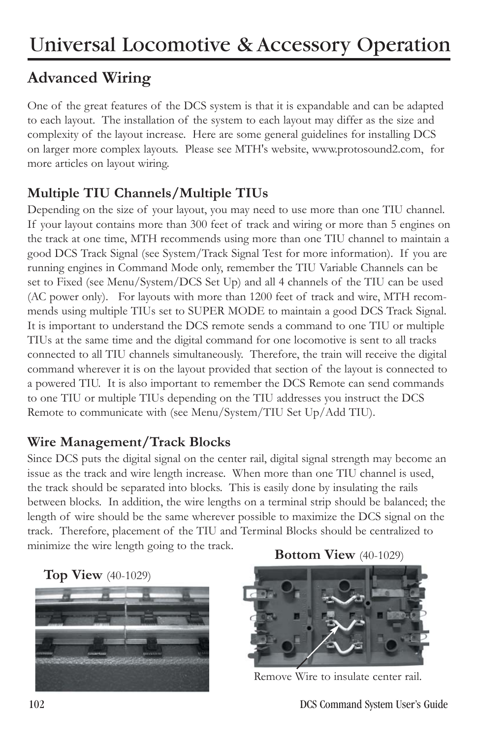One of the great features of the DCS system is that it is expandable and can be adapted to each layout. The installation of the system to each layout may differ as the size and complexity of the layout increase. Here are some general guidelines for installing DCS on larger more complex layouts. Please see MTH's website, www.protosound2.com, for more articles on layout wiring.

#### **Multiple TIU Channels/Multiple TIUs**

Depending on the size of your layout, you may need to use more than one TIU channel. If your layout contains more than 300 feet of track and wiring or more than 5 engines on the track at one time, MTH recommends using more than one TIU channel to maintain a good DCS Track Signal (see System/Track Signal Test for more information). If you are running engines in Command Mode only, remember the TIU Variable Channels can be set to Fixed (see Menu/System/DCS Set Up) and all 4 channels of the TIU can be used (AC power only). For layouts with more than 1200 feet of track and wire, MTH recommends using multiple TIUs set to SUPER MODE to maintain a good DCS Track Signal. It is important to understand the DCS remote sends a command to one TIU or multiple TIUs at the same time and the digital command for one locomotive is sent to all tracks connected to all TIU channels simultaneously. Therefore, the train will receive the digital command wherever it is on the layout provided that section of the layout is connected to a powered TIU. It is also important to remember the DCS Remote can send commands to one TIU or multiple TIUs depending on the TIU addresses you instruct the DCS Remote to communicate with (see Menu/System/TIU Set Up/Add TIU).

#### **Wire Management/Track Blocks**

Since DCS puts the digital signal on the center rail, digital signal strength may become an issue as the track and wire length increase. When more than one TIU channel is used, the track should be separated into blocks. This is easily done by insulating the rails between blocks. In addition, the wire lengths on a terminal strip should be balanced; the length of wire should be the same wherever possible to maximize the DCS signal on the track. Therefore, placement of the TIU and Terminal Blocks should be centralized to minimize the wire length going to the track.





**Bottom View** (40-1029)



Remove Wire to insulate center rail.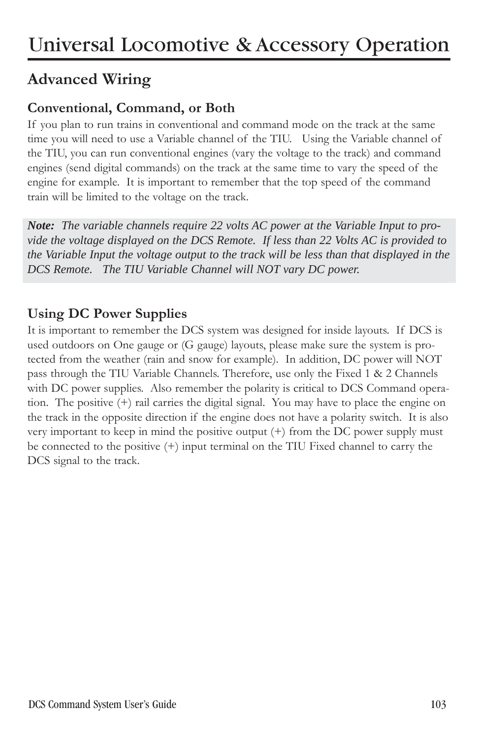#### **Conventional, Command, or Both**

If you plan to run trains in conventional and command mode on the track at the same time you will need to use a Variable channel of the TIU. Using the Variable channel of the TIU, you can run conventional engines (vary the voltage to the track) and command engines (send digital commands) on the track at the same time to vary the speed of the engine for example. It is important to remember that the top speed of the command train will be limited to the voltage on the track.

*Note: The variable channels require 22 volts AC power at the Variable Input to provide the voltage displayed on the DCS Remote. If less than 22 Volts AC is provided to the Variable Input the voltage output to the track will be less than that displayed in the DCS Remote. The TIU Variable Channel will NOT vary DC power.* 

#### **Using DC Power Supplies**

It is important to remember the DCS system was designed for inside layouts. If DCS is used outdoors on One gauge or (G gauge) layouts, please make sure the system is protected from the weather (rain and snow for example). In addition, DC power will NOT pass through the TIU Variable Channels. Therefore, use only the Fixed 1 & 2 Channels with DC power supplies. Also remember the polarity is critical to DCS Command operation. The positive (+) rail carries the digital signal. You may have to place the engine on the track in the opposite direction if the engine does not have a polarity switch. It is also very important to keep in mind the positive output (+) from the DC power supply must be connected to the positive (+) input terminal on the TIU Fixed channel to carry the DCS signal to the track.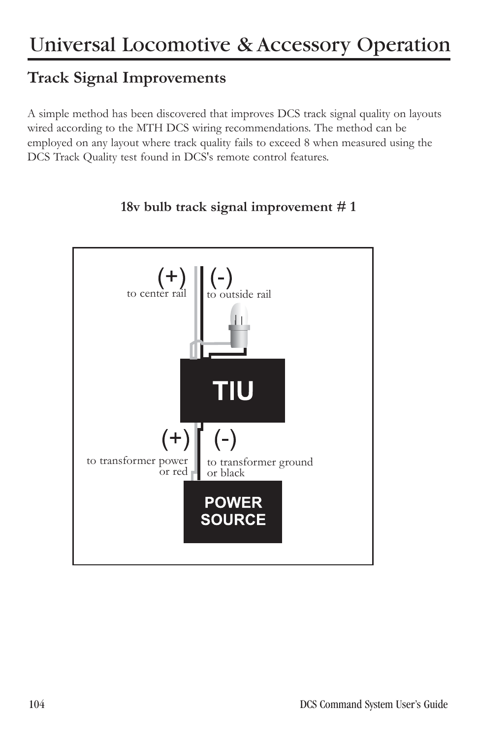### **Track Signal Improvements**

A simple method has been discovered that improves DCS track signal quality on layouts wired according to the MTH DCS wiring recommendations. The method can be employed on any layout where track quality fails to exceed 8 when measured using the DCS Track Quality test found in DCS's remote control features.



#### **18v bulb track signal improvement # 1**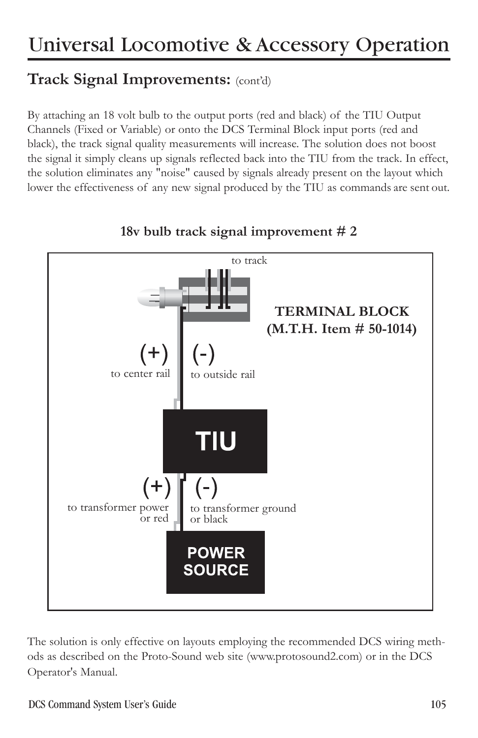### **Track Signal Improvements:** (cont'd)

By attaching an 18 volt bulb to the output ports (red and black) of the TIU Output Channels (Fixed or Variable) or onto the DCS Terminal Block input ports (red and black), the track signal quality measurements will increase. The solution does not boost the signal it simply cleans up signals reflected back into the TIU from the track. In effect, the solution eliminates any "noise" caused by signals already present on the layout which lower the effectiveness of any new signal produced by the TIU as commands are sent out.



#### **18v bulb track signal improvement # 2**

The solution is only effective on layouts employing the recommended DCS wiring methods as described on the Proto-Sound web site (www.protosound2.com) or in the DCS Operator's Manual.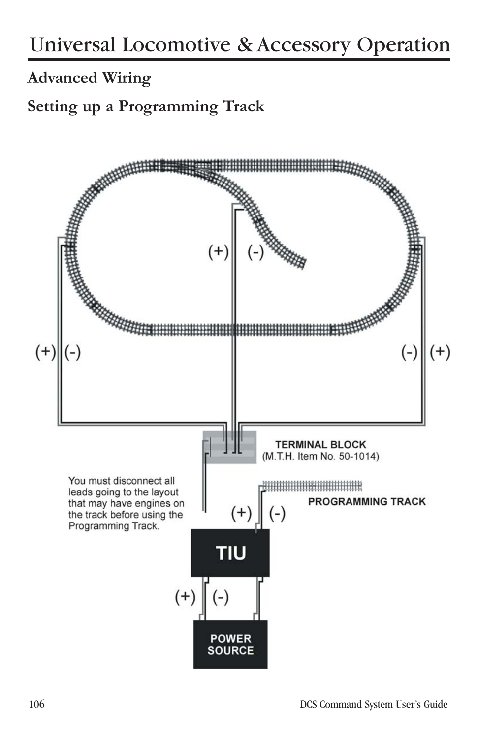**Setting up a Programming Track**

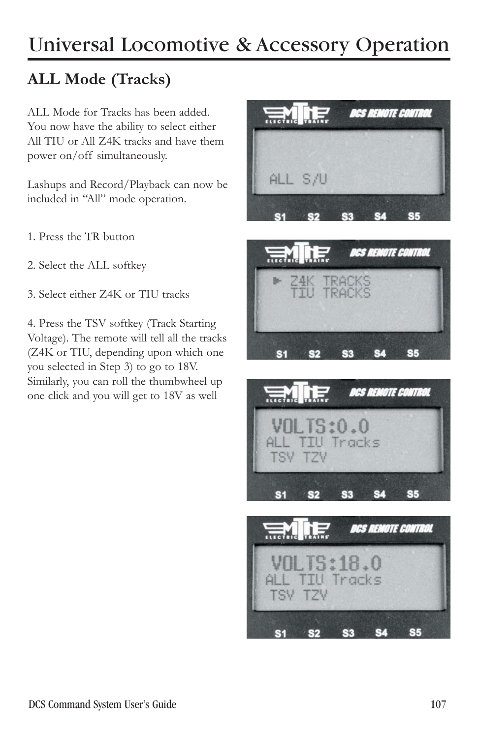### **ALL Mode (Tracks)**

ALL Mode for Tracks has been added. You now have the ability to select either All TIU or All Z4K tracks and have them power on/off simultaneously.

Lashups and Record/Playback can now be included in "All" mode operation.

- 1. Press the TR button
- 2. Select the ALL softkey
- 3. Select either Z4K or TIU tracks

4. Press the TSV softkey (Track Starting Voltage). The remote will tell all the tracks (Z4K or TIU, depending upon which one you selected in Step 3) to go to 18V. Similarly, you can roll the thumbwheel up one click and you will get to 18V as well







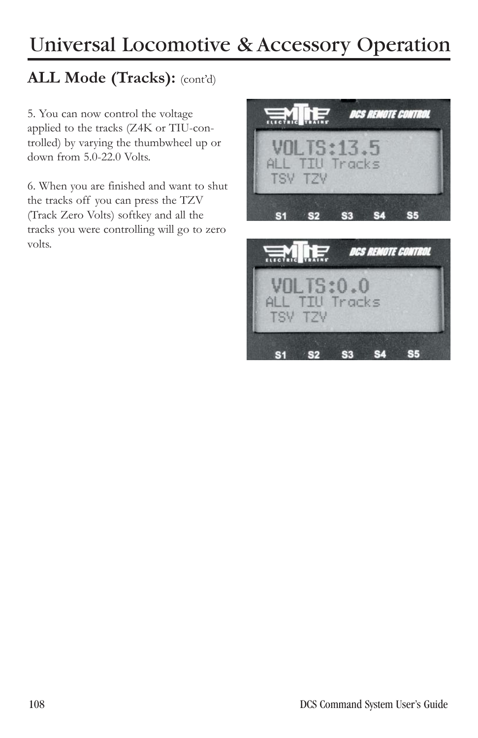### **ALL Mode (Tracks):** (cont'd)

5. You can now control the voltage applied to the tracks (Z4K or TIU-controlled) by varying the thumbwheel up or down from 5.0-22.0 Volts.

6. When you are finished and want to shut the tracks off you can press the TZV (Track Zero Volts) softkey and all the tracks you were controlling will go to zero volts.



S3 S4

**S5** 

 $\sim$  S2

 $S<sub>1</sub>$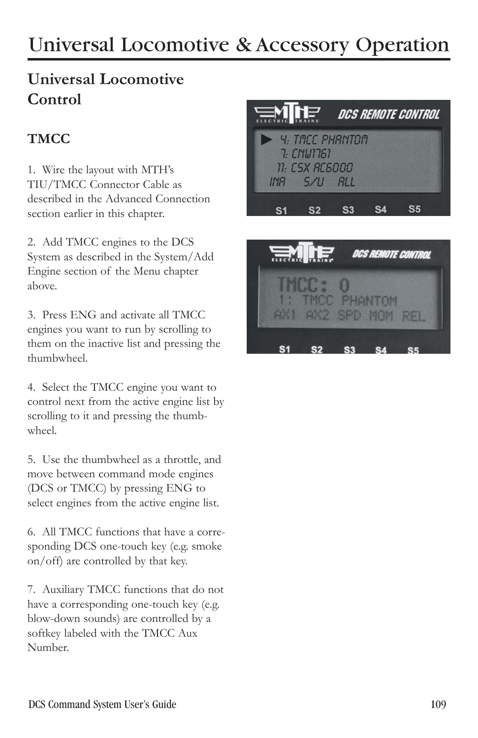### **Universal Locomotive Control**

### **TMCC**

1. Wire the layout with MTH's TIU/TMCC Connector Cable as described in the Advanced Connection section earlier in this chapter.

2. Add TMCC engines to the DCS System as described in the System/Add Engine section of the Menu chapter above.

3. Press ENG and activate all TMCC engines you want to run by scrolling to them on the inactive list and pressing the thumbwheel.

4. Select the TMCC engine you want to control next from the active engine list by scrolling to it and pressing the thumbwheel.

5. Use the thumbwheel as a throttle, and move between command mode engines (DCS or TMCC) by pressing ENG to select engines from the active engine list.

6. All TMCC functions that have a corresponding DCS one-touch key (e.g. smoke on/off) are controlled by that key.

7. Auxiliary TMCC functions that do not have a corresponding one-touch key (e.g. blow-down sounds) are controlled by a softkey labeled with the TMCC Aux Number.



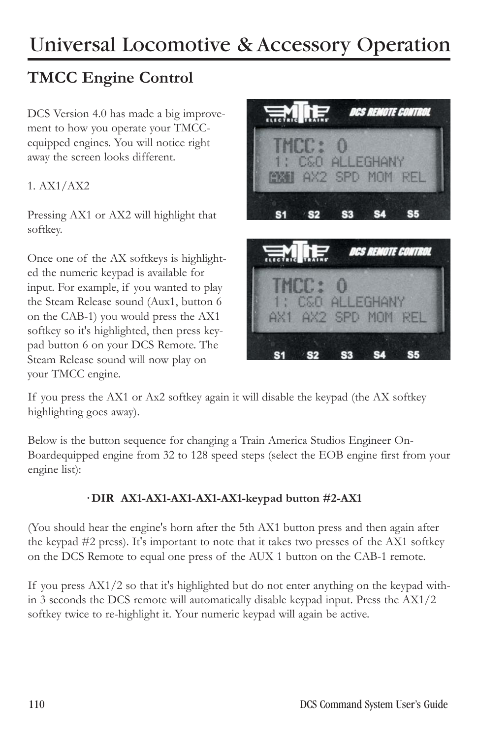### **TMCC Engine Control**

DCS Version 4.0 has made a big improvement to how you operate your TMCCequipped engines. You will notice right away the screen looks different.

1. AX1/AX2

Pressing AX1 or AX2 will highlight that softkey.

Once one of the AX softkeys is highlighted the numeric keypad is available for input. For example, if you wanted to play the Steam Release sound (Aux1, button 6 on the CAB-1) you would press the AX1 softkey so it's highlighted, then press keypad button 6 on your DCS Remote. The Steam Release sound will now play on your TMCC engine.



**S3** 

**S4** 

**S2** 

**S5** 

If you press the AX1 or Ax2 softkey again it will disable the keypad (the AX softkey highlighting goes away).

Below is the button sequence for changing a Train America Studios Engineer On-Boardequipped engine from 32 to 128 speed steps (select the EOB engine first from your engine list):

#### **· DIR AX1-AX1-AX1-AX1-AX1-keypad button #2-AX1**

(You should hear the engine's horn after the 5th AX1 button press and then again after the keypad #2 press). It's important to note that it takes two presses of the AX1 softkey on the DCS Remote to equal one press of the AUX 1 button on the CAB-1 remote.

If you press  $AX1/2$  so that it's highlighted but do not enter anything on the keypad within 3 seconds the DCS remote will automatically disable keypad input. Press the AX1/2 softkey twice to re-highlight it. Your numeric keypad will again be active.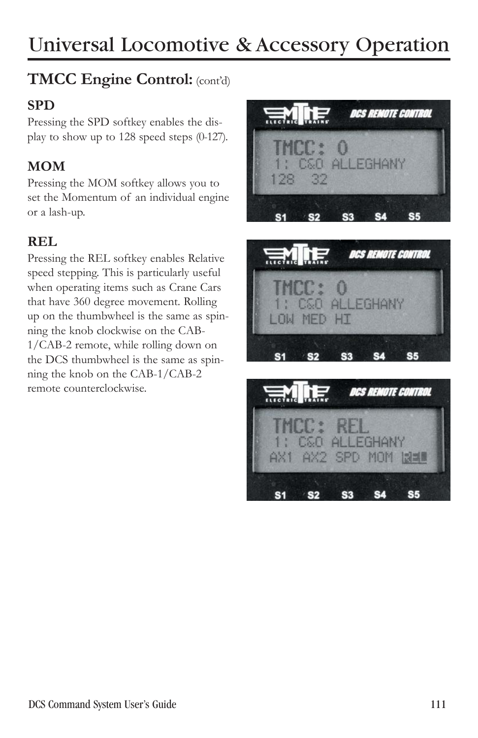### **TMCC Engine Control:** (cont'd)

#### **SPD**

Pressing the SPD softkey enables the display to show up to 128 speed steps (0-127).

### **MOM**

Pressing the MOM softkey allows you to set the Momentum of an individual engine or a lash-up.

#### **REL**

Pressing the REL softkey enables Relative speed stepping. This is particularly useful when operating items such as Crane Cars that have 360 degree movement. Rolling up on the thumbwheel is the same as spinning the knob clockwise on the CAB-1/CAB-2 remote, while rolling down on the DCS thumbwheel is the same as spinning the knob on the CAB-1/CAB-2 remote counterclockwise.





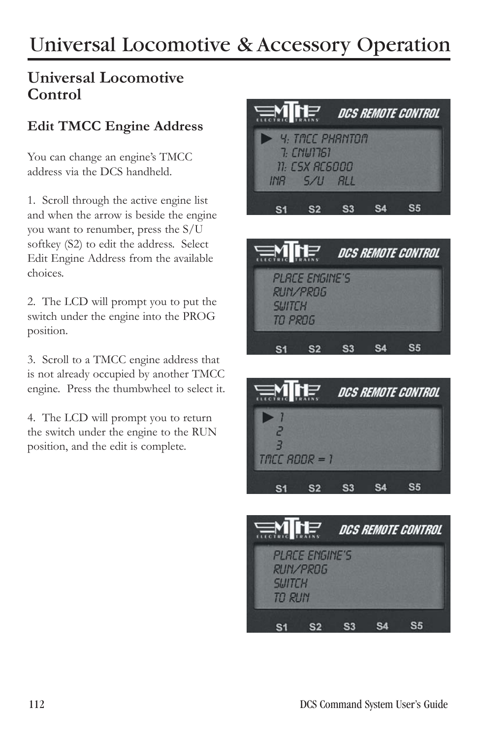#### **Universal Locomotive Control**

#### **Edit TMCC Engine Address**

You can change an engine's TMCC address via the DCS handheld.

1. Scroll through the active engine list and when the arrow is beside the engine you want to renumber, press the S/U softkey (S2) to edit the address. Select Edit Engine Address from the available choices.

2. The LCD will prompt you to put the switch under the engine into the PROG position.

3. Scroll to a TMCC engine address that is not already occupied by another TMCC engine. Press the thumbwheel to select it.

4. The LCD will prompt you to return the switch under the engine to the RUN position, and the edit is complete.



RUN/PROG **SIJITCH** TO PROG



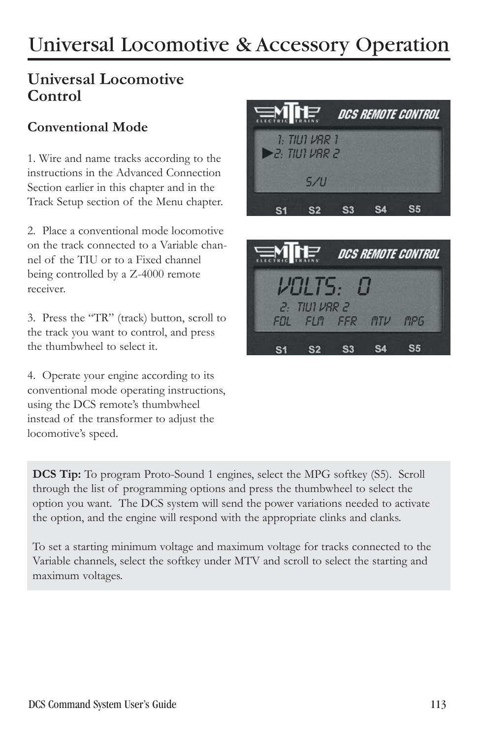### **Universal Locomotive Control**

#### **Conventional Mode**

1. Wire and name tracks according to the instructions in the Advanced Connection Section earlier in this chapter and in the Track Setup section of the Menu chapter.

2. Place a conventional mode locomotive on the track connected to a Variable channel of the TIU or to a Fixed channel being controlled by a Z-4000 remote receiver.

3. Press the "TR" (track) button, scroll to the track you want to control, and press the thumbwheel to select it.

4. Operate your engine according to its conventional mode operating instructions, using the DCS remote's thumbwheel instead of the transformer to adjust the locomotive's speed.





**DCS Tip:** To program Proto-Sound 1 engines, select the MPG softkey (S5). Scroll through the list of programming options and press the thumbwheel to select the option you want. The DCS system will send the power variations needed to activate the option, and the engine will respond with the appropriate clinks and clanks.

To set a starting minimum voltage and maximum voltage for tracks connected to the Variable channels, select the softkey under MTV and scroll to select the starting and maximum voltages.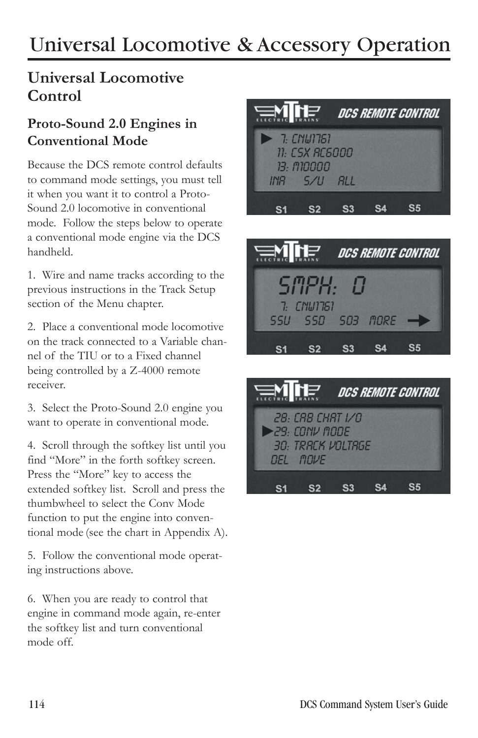### **Universal Locomotive Control**

#### **Proto-Sound 2.0 Engines in Conventional Mode**

Because the DCS remote control defaults to command mode settings, you must tell it when you want it to control a Proto-Sound 2.0 locomotive in conventional mode. Follow the steps below to operate a conventional mode engine via the DCS handheld.

1. Wire and name tracks according to the previous instructions in the Track Setup section of the Menu chapter.

2. Place a conventional mode locomotive on the track connected to a Variable channel of the TIU or to a Fixed channel being controlled by a Z-4000 remote receiver.

3. Select the Proto-Sound 2.0 engine you want to operate in conventional mode.

4. Scroll through the softkey list until you find "More" in the forth softkey screen. Press the "More" key to access the extended softkey list. Scroll and press the thumbwheel to select the Conv Mode function to put the engine into conventional mode (see the chart in Appendix A).

5. Follow the conventional mode operating instructions above.

6. When you are ready to control that engine in command mode again, re-enter the softkey list and turn conventional mode off.





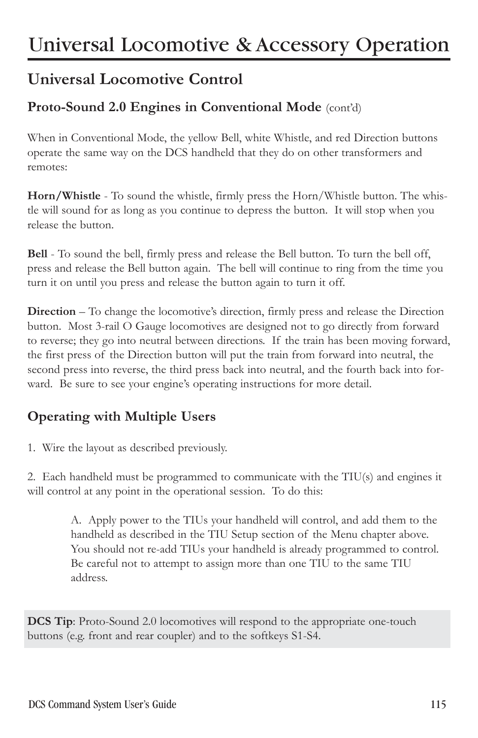### **Universal Locomotive Control**

#### Proto-Sound 2.0 Engines in Conventional Mode (cont'd)

When in Conventional Mode, the yellow Bell, white Whistle, and red Direction buttons operate the same way on the DCS handheld that they do on other transformers and remotes:

**Horn/Whistle** - To sound the whistle, firmly press the Horn/Whistle button. The whistle will sound for as long as you continue to depress the button. It will stop when you release the button.

**Bell** - To sound the bell, firmly press and release the Bell button. To turn the bell off, press and release the Bell button again. The bell will continue to ring from the time you turn it on until you press and release the button again to turn it off.

**Direction** – To change the locomotive's direction, firmly press and release the Direction button. Most 3-rail O Gauge locomotives are designed not to go directly from forward to reverse; they go into neutral between directions. If the train has been moving forward, the first press of the Direction button will put the train from forward into neutral, the second press into reverse, the third press back into neutral, and the fourth back into forward. Be sure to see your engine's operating instructions for more detail.

### **Operating with Multiple Users**

1. Wire the layout as described previously.

2. Each handheld must be programmed to communicate with the TIU(s) and engines it will control at any point in the operational session. To do this:

> A. Apply power to the TIUs your handheld will control, and add them to the handheld as described in the TIU Setup section of the Menu chapter above. You should not re-add TIUs your handheld is already programmed to control. Be careful not to attempt to assign more than one TIU to the same TIU address.

**DCS Tip**: Proto-Sound 2.0 locomotives will respond to the appropriate one-touch buttons (e.g. front and rear coupler) and to the softkeys S1-S4.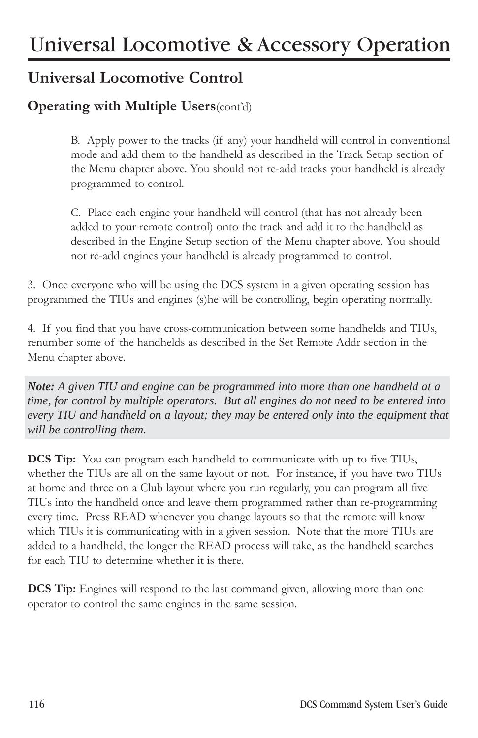### **Universal Locomotive Control**

#### **Operating with Multiple Users**(cont'd)

B. Apply power to the tracks (if any) your handheld will control in conventional mode and add them to the handheld as described in the Track Setup section of the Menu chapter above. You should not re-add tracks your handheld is already programmed to control.

C. Place each engine your handheld will control (that has not already been added to your remote control) onto the track and add it to the handheld as described in the Engine Setup section of the Menu chapter above. You should not re-add engines your handheld is already programmed to control.

3. Once everyone who will be using the DCS system in a given operating session has programmed the TIUs and engines (s)he will be controlling, begin operating normally.

4. If you find that you have cross-communication between some handhelds and TIUs, renumber some of the handhelds as described in the Set Remote Addr section in the Menu chapter above.

*Note: A given TIU and engine can be programmed into more than one handheld at a time, for control by multiple operators. But all engines do not need to be entered into every TIU and handheld on a layout; they may be entered only into the equipment that will be controlling them.* 

**DCS Tip:** You can program each handheld to communicate with up to five TIUs, whether the TIUs are all on the same layout or not. For instance, if you have two TIUs at home and three on a Club layout where you run regularly, you can program all five TIUs into the handheld once and leave them programmed rather than re-programming every time. Press READ whenever you change layouts so that the remote will know which TIUs it is communicating with in a given session. Note that the more TIUs are added to a handheld, the longer the READ process will take, as the handheld searches for each TIU to determine whether it is there.

**DCS Tip:** Engines will respond to the last command given, allowing more than one operator to control the same engines in the same session.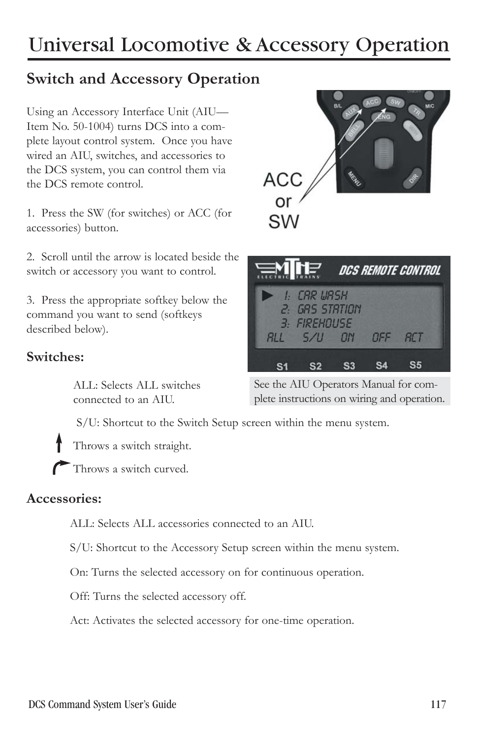### **Switch and Accessory Operation**

Using an Accessory Interface Unit (AIU— Item No. 50-1004) turns DCS into a complete layout control system. Once you have wired an AIU, switches, and accessories to the DCS system, you can control them via the DCS remote control.

1. Press the SW (for switches) or ACC (for accessories) button.

2. Scroll until the arrow is located beside the switch or accessory you want to control.

3. Press the appropriate softkey below the command you want to send (softkeys described below).

#### **Switches:**

ALL: Selects ALL switches connected to an AIU.

S/U: Shortcut to the Switch Setup screen within the menu system.

Throws a switch straight.

Throws a switch curved.

#### **Accessories:**

ALL: Selects ALL accessories connected to an AIU.

S/U: Shortcut to the Accessory Setup screen within the menu system.

On: Turns the selected accessory on for continuous operation.

Off: Turns the selected accessory off.

Act: Activates the selected accessory for one-time operation.



| <b>ENILE</b> |                                                                     | DCS REMOTE CONTROL |    |  |
|--------------|---------------------------------------------------------------------|--------------------|----|--|
|              | $\blacktriangleright$ 1: CAR WASH<br>2: GRS STRTION<br>3: FIREHOUSE |                    |    |  |
|              | $RIL$ $5/II$ $0N$ $0FF$                                             |                    | HT |  |
|              |                                                                     |                    |    |  |

See the AIU Operators Manual for complete instructions on wiring and operation.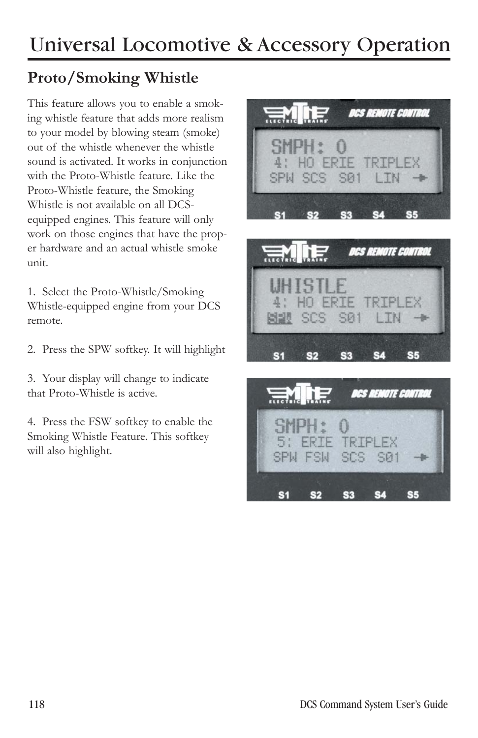### **Proto/Smoking Whistle**

This feature allows you to enable a smoking whistle feature that adds more realism to your model by blowing steam (smoke) out of the whistle whenever the whistle sound is activated. It works in conjunction with the Proto-Whistle feature. Like the Proto-Whistle feature, the Smoking Whistle is not available on all DCSequipped engines. This feature will only work on those engines that have the proper hardware and an actual whistle smoke unit.

1. Select the Proto-Whistle/Smoking Whistle-equipped engine from your DCS remote.

2. Press the SPW softkey. It will highlight

3. Your display will change to indicate that Proto-Whistle is active.

4. Press the FSW softkey to enable the Smoking Whistle Feature. This softkey will also highlight.